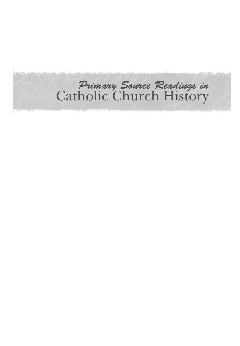# *Primary Source Readings in*  Catholic Church History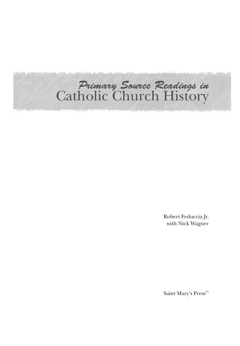# *Primary Source Readings in*  Catholic Church History

Robert Feduccia Jr. with Nick Wagner

Saint Mary's Press™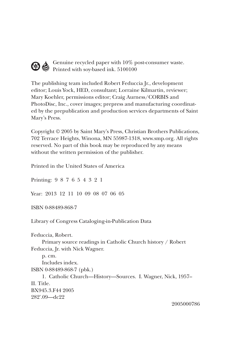## Genuine recycled paper with 10% post-consumer waste.  $\bigotimes$  Genuine recycles  $_{r-1}$ <br>Printed with soy-based ink. 5100100

The publishing team included Robert Feduccia Jr., development editor; Louis Yock, HED, consultant; Lorraine Kilmartin, reviewer; Mary Koehler, permissions editor; Craig Aurness/CORBIS and PhotoDisc, Inc., cover images; prepress and manufacturing coordinated by the prepublication and production services departments of Saint Mary's Press.

Copyright © 2005 by Saint Mary's Press, Christian Brothers Publications, 702 Terrace Heights, Winona, MN 55987-1318, www.smp.org. All rights reserved. No part of this book may be reproduced by any means without the written permission of the publisher.

Printed in the United States of America

Printing: 9 8 7 6 5 4 3 2 1 Year: 2013 12 11 10 09 08 07 06 05 ISBN 0-88489-868-7 Library of Congress Cataloging-in-Publication Data Feduccia, Robert. Primary source readings in Catholic Church history / Robert Feduccia, Jr. with Nick Wagner. p. cm. Includes index. ISBN 0-88489-868-7 (pbk.) 1. Catholic Church—History—Sources. I. Wagner, Nick, 1957– II. Title. BX945.3.F44 2005 282'.09—dc22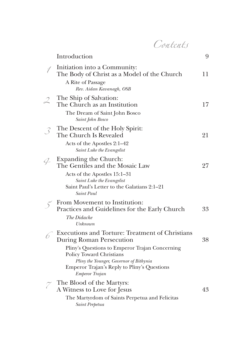Contents

|                                                          | Introduction                                                                                                                                                                                                                                                                 | 9  |
|----------------------------------------------------------|------------------------------------------------------------------------------------------------------------------------------------------------------------------------------------------------------------------------------------------------------------------------------|----|
|                                                          | Initiation into a Community:<br>The Body of Christ as a Model of the Church<br>A Rite of Passage                                                                                                                                                                             | 11 |
| $\mathcal{L}$                                            | Rev. Aidan Kavanagh, OSB<br>The Ship of Salvation:<br>The Church as an Institution<br>The Dream of Saint John Bosco<br>Saint John Bosco                                                                                                                                      | 17 |
| $\mathcal{S}% _{M_{1},M_{2}}^{\alpha,\beta}(\mathbf{A})$ | The Descent of the Holy Spirit:<br>The Church Is Revealed<br>Acts of the Apostles 2:1–42<br>Saint Luke the Evangelist                                                                                                                                                        | 21 |
| $\varphi$                                                | Expanding the Church:<br>The Gentiles and the Mosaic Law<br>Acts of the Apostles 15:1-31<br>Saint Luke the Evangelist<br>Saint Paul's Letter to the Galatians 2:1-21<br>Saint Paul                                                                                           | 27 |
|                                                          | From Movement to Institution:<br>Practices and Guidelines for the Early Church<br>The Didache<br>Unknown                                                                                                                                                                     | 33 |
|                                                          | Executions and Torture: Treatment of Christians<br><b>During Roman Persecution</b><br>Pliny's Questions to Emperor Trajan Concerning<br>Policy Toward Christians<br>Pliny the Younger, Governor of Bithynia<br>Emperor Trajan's Reply to Pliny's Questions<br>Emperor Trajan | 38 |
| $\widetilde{\phantom{a}}$                                | The Blood of the Martyrs:<br>A Witness to Love for Jesus<br>The Martyrdom of Saints Perpetua and Felicitas<br>Saint Perpetua                                                                                                                                                 | 43 |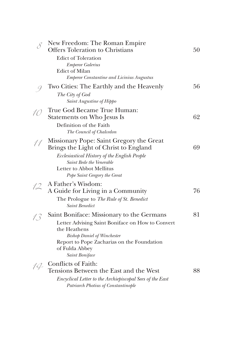| $\mathcal{S}_{0}$ | New Freedom: The Roman Empire<br><b>Offers Toleration to Christians</b>                                                                                                                                                               | 50 |
|-------------------|---------------------------------------------------------------------------------------------------------------------------------------------------------------------------------------------------------------------------------------|----|
|                   | <b>Edict of Toleration</b><br><b>Emperor Galerius</b><br><b>Edict of Milan</b><br><b>Emperor Constantine and Licinius Augustus</b>                                                                                                    |    |
|                   | Two Cities: The Earthly and the Heavenly<br>The City of God<br>Saint Augustine of Hippo                                                                                                                                               | 56 |
| 10                | True God Became True Human:<br>Statements on Who Jesus Is<br>Definition of the Faith<br>The Council of Chalcedon                                                                                                                      | 62 |
| 11                | Missionary Pope: Saint Gregory the Great<br>Brings the Light of Christ to England<br>Ecclesiastical History of the English People<br>Saint Bede the Venerable<br><b>Letter to Abbot Mellitus</b><br>Pope Saint Gregory the Great      | 69 |
|                   | A Father's Wisdom:<br>A Guide for Living in a Community<br>The Prologue to The Rule of St. Benedict<br><b>Saint Benedict</b>                                                                                                          | 76 |
| 13                | Saint Boniface: Missionary to the Germans<br>Letter Advising Saint Boniface on How to Convert<br>the Heathens<br><b>Bishop Daniel of Winchester</b><br>Report to Pope Zacharias on the Foundation<br>of Fulda Abbey<br>Saint Boniface | 81 |
| 14                | Conflicts of Faith:<br>Tensions Between the East and the West<br>Encyclical Letter to the Archiepiscopal Sees of the East<br>Patriarch Photius of Constantinople                                                                      | 88 |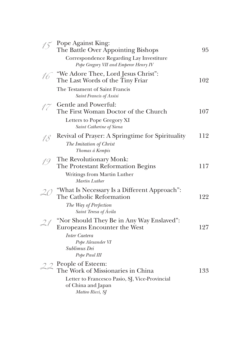|    | Pope Against King:<br>The Battle Over Appointing Bishops<br>Correspondence Regarding Lay Investiture<br>Pope Gregory VII and Emperor Henry IV | 95  |
|----|-----------------------------------------------------------------------------------------------------------------------------------------------|-----|
| 16 | "We Adore Thee, Lord Jesus Christ":<br>The Last Words of the Tiny Friar                                                                       | 102 |
|    | The Testament of Saint Francis<br>Saint Francis of Assisi                                                                                     |     |
|    | Gentle and Powerful:<br>The First Woman Doctor of the Church                                                                                  | 107 |
|    | Letters to Pope Gregory XI<br>Saint Catherine of Siena                                                                                        |     |
| 18 | Revival of Prayer: A Springtime for Spirituality<br>The Imitation of Christ<br>Thomas á Kempis                                                | 112 |
| 19 | The Revolutionary Monk:<br>The Protestant Reformation Begins<br>Writings from Martin Luther<br>Martin Luther                                  | 117 |
| 20 | "What Is Necessary Is a Different Approach":<br>The Catholic Reformation                                                                      | 122 |
|    | The Way of Perfection<br>Saint Teresa of Ávila                                                                                                |     |
| 21 | "Nor Should They Be in Any Way Enslaved":<br><b>Europeans Encounter the West</b>                                                              | 127 |
|    | Inter Caetera<br>Pope Alexander VI<br>Sublimus Dei<br>Pope Paul III                                                                           |     |
|    | $22$ People of Esteem:<br>The Work of Missionaries in China                                                                                   | 133 |
|    | Letter to Francesco Pasio, SJ, Vice-Provincial<br>of China and Japan<br>Matteo Ricci, SJ                                                      |     |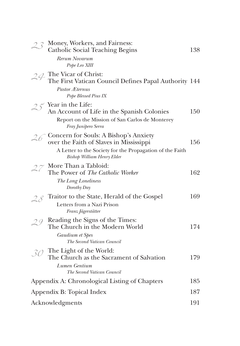|                 | Money, Workers, and Fairness:<br>Catholic Social Teaching Begins                                                                          | 138 |  |
|-----------------|-------------------------------------------------------------------------------------------------------------------------------------------|-----|--|
|                 | Rerum Novarum<br>Pope Leo XIII                                                                                                            |     |  |
|                 | $24$ The Vicar of Christ:<br>The First Vatican Council Defines Papal Authority 144<br>Pastor Æternus<br>Pope Blessed Pius IX              |     |  |
|                 | Year in the Life:<br>An Account of Life in the Spanish Colonies<br>Report on the Mission of San Carlos de Monterey<br>Fray Junípero Serra | 150 |  |
|                 | Concern for Souls: A Bishop's Anxiety<br>over the Faith of Slaves in Mississippi                                                          | 156 |  |
|                 | A Letter to the Society for the Propagation of the Faith<br><b>Bishop William Henry Elder</b>                                             |     |  |
|                 | $27$ More Than a Tabloid:<br>The Power of The Catholic Worker                                                                             | 162 |  |
|                 | The Long Loneliness<br>Dorothy Day                                                                                                        |     |  |
|                 | Traitor to the State, Herald of the Gospel<br>Letters from a Nazi Prison<br>Franz Jägerstätter                                            | 169 |  |
|                 | Reading the Signs of the Times:<br>The Church in the Modern World                                                                         | 174 |  |
|                 | Gaudium et Spes<br>The Second Vatican Council                                                                                             |     |  |
|                 | The Light of the World:<br>The Church as the Sacrament of Salvation<br>Lumen Gentium<br>The Second Vatican Council                        | 179 |  |
|                 | Appendix A: Chronological Listing of Chapters                                                                                             |     |  |
|                 | Appendix B: Topical Index                                                                                                                 |     |  |
| Acknowledgments |                                                                                                                                           | 191 |  |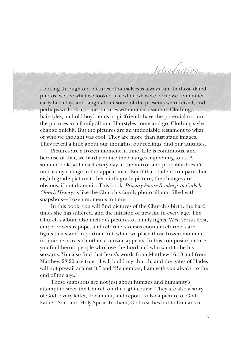Looking through old pictures of ourselves is always fun. In those dated photos, we see what we looked like when we were born; we remember early birthdays and laugh about some of the presents we received; and perhaps we look at some pictures with embarrassment. Clothing, hairstyles, and old boyfriends or girlfriends have the potential to ruin the pictures in a family album. Hairstyles come and go. Clothing styles change quickly. But the pictures are an undeniable testament to what or who we thought was cool. They are more than just static images. They reveal a little about our thoughts, our feelings, and our attitudes.

Introduction

Pictures are a frozen moment in time. Life is continuous, and because of that, we hardly notice the changes happening to us. A student looks at herself every day in the mirror and probably doesn't notice any change in her appearance. But if that student compares her eighth-grade picture to her ninth-grade picture, the changes are obvious, if not dramatic. This book, *Primary Source Readings in Catholic Church History*, is like the Church's family photo album, filled with snapshots—frozen moments in time.

In this book, you will find pictures of the Church's birth, the hard times she has suffered, and the infusion of new life in every age. The Church's album also includes pictures of family fights. West versus East, emperor versus pope, and reformers versus counter-reformers are fights that stand in portrait. Yet, when we place those frozen moments in time next to each other, a mosaic appears. In this composite picture you find heroic people who love the Lord and who want to be his servants. You also find that Jesus's words from Matthew 16:18 and from Matthew 28:20 are true: "I will build my church, and the gates of Hades will not prevail against it," and "Remember, I am with you always, to the end of the age."

These snapshots are not just about humans and humanity's attempt to steer the Church on the right course. They are also a story of God. Every letter, document, and report is also a picture of God: Father, Son, and Holy Spirit. In them, God reaches out to humans in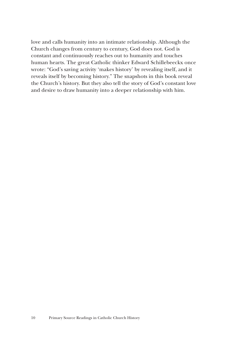love and calls humanity into an intimate relationship. Although the Church changes from century to century, God does not. God is constant and continuously reaches out to humanity and touches human hearts. The great Catholic thinker Edward Schillebeeckx once wrote: "God's saving activity 'makes history' by revealing itself, and it reveals itself by becoming history." The snapshots in this book reveal the Church's history. But they also tell the story of God's constant love and desire to draw humanity into a deeper relationship with him.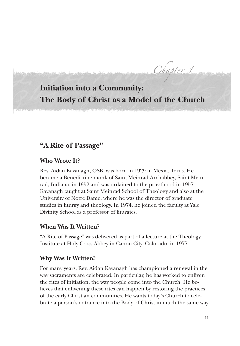Chapter 1

## **Initiation into a Community: The Body of Christ as a Model of the Church**

### **"A Rite of Passage"**

#### **Who Wrote It?**

Rev. Aidan Kavanagh, OSB, was born in 1929 in Mexia, Texas. He became a Benedictine monk of Saint Meinrad Archabbey, Saint Meinrad, Indiana, in 1952 and was ordained to the priesthood in 1957. Kavanagh taught at Saint Meinrad School of Theology and also at the University of Notre Dame, where he was the director of graduate studies in liturgy and theology. In 1974, he joined the faculty at Yale Divinity School as a professor of liturgics.

#### **When Was It Written?**

"A Rite of Passage" was delivered as part of a lecture at the Theology Institute at Holy Cross Abbey in Canon City, Colorado, in 1977.

#### **Why Was It Written?**

For many years, Rev. Aidan Kavanagh has championed a renewal in the way sacraments are celebrated. In particular, he has worked to enliven the rites of initiation, the way people come into the Church. He believes that enlivening these rites can happen by restoring the practices of the early Christian communities. He wants today's Church to celebrate a person's entrance into the Body of Christ in much the same way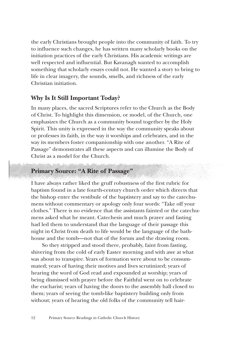the early Christians brought people into the community of faith. To try to influence such changes, he has written many scholarly books on the initiation practices of the early Christians. His academic writings are well respected and influential. But Kavanagh wanted to accomplish something that scholarly essays could not. He wanted a story to bring to life in clear imagery, the sounds, smells, and richness of the early Christian initiation.

#### **Why Is It Still Important Today?**

In many places, the sacred Scriptures refer to the Church as the Body of Christ. To highlight this dimension, or model, of the Church, one emphasizes the Church as a community bound together by the Holy Spirit. This unity is expressed in the way the community speaks about or professes its faith, in the way it worships and celebrates, and in the way its members foster companionship with one another. "A Rite of Passage" demonstrates all these aspects and can illumine the Body of Christ as a model for the Church.

#### **Primary Source: "A Rite of Passage"**

I have always rather liked the gruff robustness of the first rubric for baptism found in a late fourth-century church order which directs that the bishop enter the vestibule of the baptistery and say to the catechumens without commentary or apology only four words: "Take off your clothes." There is no evidence that the assistants fainted or the catechumens asked what he meant. Catechesis and much prayer and fasting had led them to understand that the language of their passage this night in Christ from death to life would be the language of the bathhouse and the tomb—not that of the forum and the drawing room.

So they stripped and stood there, probably, faint from fasting, shivering from the cold of early Easter morning and with awe at what was about to transpire. Years of formation were about to be consummated; years of having their motives and lives scrutinized; years of hearing the word of God read and expounded at worship; years of being dismissed with prayer before the Faithful went on to celebrate the eucharist; years of having the doors to the assembly hall closed to them; years of seeing the tomb-like baptistery building only from without; years of hearing the old folks of the community tell hair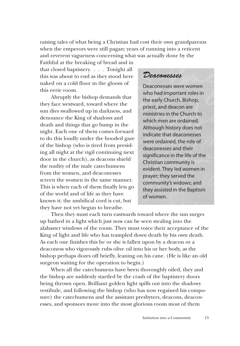raising tales of what being a Christian had cost their own grandparents when the emperors were still pagan; years of running into a reticent and reverent vagueness concerning what was actually done by the

Faithful at the breaking of bread and in that closed baptistery. . . . Tonight all this was about to end as they stood here naked on a cold floor in the gloom of this eerie room.

Abruptly the bishop demands that they face westward, toward where the sun dies swallowed up in darkness, and denounce the King of shadows and death and things that go bump in the night. Each one of them comes forward to do this loudly under the hooded gaze of the bishop (who is tired from presiding all night at the vigil continuing next door in the church), as deacons shield the nudity of the male catechumens from the women, and deaconesses screen the women in the same manner. This is when each of them finally lets go of the world and of life as they have known it: the umbilical cord is cut, but they have not yet begun to breathe.

### *Deaconesses*

Deaconesses were women who had important roles in the early Church. Bishop, priest, and deacon are ministries in the Church to which men are ordained. Although history does not indicate that deaconesses were ordained, the role of deaconesses and their significance in the life of the Christian community is evident. They led women in prayer; they served the community's widows; and they assisted in the Baptism of women.

Then they must each turn eastwards toward where the sun surges up bathed in a light which just now can be seen stealing into the alabaster windows of the room. They must voice their acceptance of the King of light and life who has trampled down death by his own death. As each one finishes this he or she is fallen upon by a deacon or a deaconess who vigorously rubs olive oil into his or her body, as the bishop perhaps dozes off briefly, leaning on his cane. (He is like an old surgeon waiting for the operation to begin.)

When all the catechumens have been thoroughly oiled, they and the bishop are suddenly startled by the crash of the baptistery doors being thrown open. Brilliant golden light spills out into the shadowy vestibule, and following the bishop (who has now regained his composure) the catechumens and the assistant presbyters, deacons, deaconesses, and sponsors move into the most glorious room most of them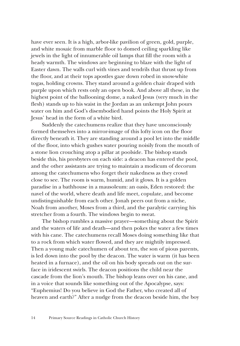have ever seen. It is a high, arbor-like pavilion of green, gold, purple, and white mosaic from marble floor to domed ceiling sparkling like jewels in the light of innumerable oil lamps that fill the room with a heady warmth. The windows are beginning to blaze with the light of Easter dawn. The walls curl with vines and tendrils that thrust up from the floor, and at their tops apostles gaze down robed in snow-white togas, holding crowns. They stand around a golden chair draped with purple upon which rests only an open book. And above all these, in the highest point of the ballooning dome, a naked Jesus (very much in the flesh) stands up to his waist in the Jordan as an unkempt John pours water on him and God's disembodied hand points the Holy Spirit at Jesus' head in the form of a white bird.

Suddenly the catechumens realize that they have unconsciously formed themselves into a mirror-image of this lofty icon on the floor directly beneath it. They are standing around a pool let into the middle of the floor, into which gushes water pouring noisily from the mouth of a stone lion crouching atop a pillar at poolside. The bishop stands beside this, his presbyters on each side: a deacon has entered the pool, and the other assistants are trying to maintain a modicum of decorum among the catechumens who forget their nakedness as they crowd close to see. The room is warm, humid, and it glows. It is a golden paradise in a bathhouse in a mausoleum: an oasis, Eden restored: the navel of the world, where death and life meet, copulate, and become undistinguishable from each other. Jonah peers out from a niche, Noah from another, Moses from a third, and the paralytic carrying his stretcher from a fourth. The windows begin to sweat.

The bishop rumbles a massive prayer—something about the Spirit and the waters of life and death—and then pokes the water a few times with his cane. The catechumens recall Moses doing something like that to a rock from which water flowed, and they are mightily impressed. Then a young male catechumen of about ten, the son of pious parents, is led down into the pool by the deacon. The water is warm (it has been heated in a furnace), and the oil on his body spreads out on the surface in iridescent swirls. The deacon positions the child near the cascade from the lion's mouth. The bishop leans over on his cane, and in a voice that sounds like something out of the Apocalypse, says: "Euphemius! Do you believe in God the Father, who created all of heaven and earth?" After a nudge from the deacon beside him, the boy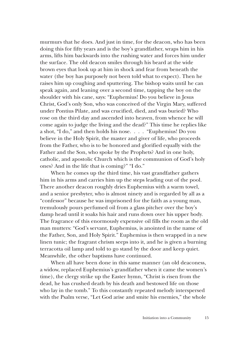murmurs that he does. And just in time, for the deacon, who has been doing this for fifty years and is the boy's grandfather, wraps him in his arms, lifts him backwards into the rushing water and forces him under the surface. The old deacon smiles through his beard at the wide brown eyes that look up at him in shock and fear from beneath the water (the boy has purposely not been told what to expect). Then he raises him up coughing and sputtering. The bishop waits until he can speak again, and leaning over a second time, tapping the boy on the shoulder with his cane, says: "Euphemius! Do you believe in Jesus Christ, God's only Son, who was conceived of the Virgin Mary, suffered under Pontius Pilate, and was crucified, died, and was buried? Who rose on the third day and ascended into heaven, from whence he will come again to judge the living and the dead?" This time he replies like a shot, "I do," and then holds his nose. . . . "Euphemius! Do you believe in the Holy Spirit, the master and giver of life, who proceeds from the Father, who is to be honored and glorified equally with the Father and the Son, who spoke by the Prophets? And in one holy, catholic, and apostolic Church which is the communion of God's holy ones? And in the life that is coming?" "I do."

When he comes up the third time, his vast grandfather gathers him in his arms and carries him up the steps leading out of the pool. There another deacon roughly dries Euphemius with a warm towel, and a senior presbyter, who is almost ninety and is regarded by all as a "confessor" because he was imprisoned for the faith as a young man, tremulously pours perfumed oil from a glass pitcher over the boy's damp head until it soaks his hair and runs down over his upper body. The fragrance of this enormously expensive oil fills the room as the old man mutters: "God's servant, Euphemius, is anointed in the name of the Father, Son, and Holy Spirit." Euphemius is then wrapped in a new linen tunic; the fragrant chrism seeps into it, and he is given a burning terracotta oil lamp and told to go stand by the door and keep quiet. Meanwhile, the other baptisms have continued.

When all have been done in this same manner (an old deaconess, a widow, replaced Euphemius's grandfather when it came the women's time), the clergy strike up the Easter hymn, "Christ is risen from the dead, he has crushed death by his death and bestowed life on those who lay in the tomb." To this constantly repeated melody interspersed with the Psalm verse, "Let God arise and smite his enemies," the whole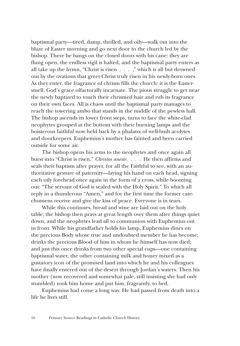baptismal party—tired, damp, thrilled, and oily—walk out into the blaze of Easter morning and go next door to the church led by the bishop. There he bangs on the closed doors with his cane: they are flung open, the endless vigil is halted, and the baptismal party enters as all take up the hymn, "Christ is risen . . . ," which is all but drowned out by the ovations that greet Christ truly risen in his newly-born ones. As they enter, the fragrance of chrism fills the church: it is the Eastersmell, God's grace olfactorally incarnate. The pious struggle to get near the newly baptized to touch their chrismed hair and rub its fragrance on their own faces. All is chaos until the baptismal party manages to reach the towering ambo that stands in the middle of the pewless hall. The bishop ascends its lower front steps, turns to face the white-clad neophytes grouped at the bottom with their burning lamps and the boisterous faithful now held back by a phalanx of well-built acolytes and doorkeepers. Euphemius's mother has fainted and been carried outside for some air.

The bishop opens his arms to the neophytes and once again all burst into "Christ is risen," *Christos aneste. . . .* He then affirms and seals their baptism after prayer, for all the Faithful to see, with an authoritative gesture of paternity—laying his hand on each head, signing each oily forehead once again in the form of a cross, while booming out: "The servant of God is sealed with the Holy Spirit." To which all reply in a thunderous "Amen," and for the first time the former catechumens receive and give the kiss of peace. Everyone is in tears.

While this continues, bread and wine are laid out on the holy table; the bishop then prays at great length over them after things quiet down, and the neophytes lead all to communion with Euphemius out in front. While his grandfather holds his lamp, Euphemius dines on the precious Body whose true and undoubted member he has become; drinks the precious Blood of him in whom he himself has now died; and just this once drinks from two other special cups—one containing baptismal water, the other containing milk and honey mixed as a gustatory icon of the promised land into which he and his colleagues have finally entered out of the desert through Jordan's waters. Then his mother (now recovered and somewhat pale, still insisting she had only stumbled) took him home and put him, fragrantly, to bed.

Euphemius had come a long way. He had passed from death into a life he lives still.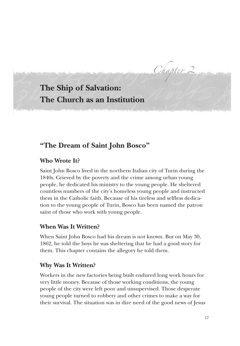Chapter 2

## **The Ship of Salvation: The Church as an Institution**

## **"The Dream of Saint John Bosco"**

#### **Who Wrote It?**

Saint John Bosco lived in the northern Italian city of Turin during the 1840s. Grieved by the poverty and the crime among urban young people, he dedicated his ministry to the young people. He sheltered countless numbers of the city's homeless young people and instructed them in the Catholic faith. Because of his tireless and selfless dedication to the young people of Turin, Bosco has been named the patron saint of those who work with young people.

#### **When Was It Written?**

When Saint John Bosco had his dream is not known. But on May 30, 1862, he told the boys he was sheltering that he had a good story for them. This chapter contains the allegory he told them.

#### **Why Was It Written?**

Workers in the new factories being built endured long work hours for very little money. Because of those working conditions, the young people of the city were left poor and unsupervised. Those desperate young people turned to robbery and other crimes to make a way for their survival. The situation was in dire need of the good news of Jesus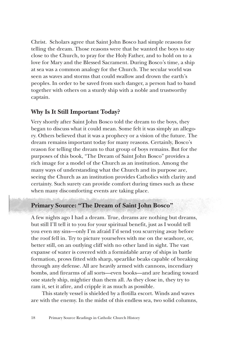Christ. Scholars agree that Saint John Bosco had simple reasons for telling the dream. Those reasons were that he wanted the boys to stay close to the Church, to pray for the Holy Father, and to hold on to a love for Mary and the Blessed Sacrament. During Bosco's time, a ship at sea was a common analogy for the Church. The secular world was seen as waves and storms that could swallow and drown the earth's peoples. In order to be saved from such danger, a person had to band together with others on a sturdy ship with a noble and trustworthy captain.

#### **Why Is It Still Important Today?**

Very shortly after Saint John Bosco told the dream to the boys, they began to discuss what it could mean. Some felt it was simply an allegory. Others believed that it was a prophecy or a vision of the future. The dream remains important today for many reasons. Certainly, Bosco's reason for telling the dream to that group of boys remains. But for the purposes of this book, "The Dream of Saint John Bosco" provides a rich image for a model of the Church as an institution. Among the many ways of understanding what the Church and its purpose are, seeing the Church as an institution provides Catholics with clarity and certainty. Such surety can provide comfort during times such as these when many discomforting events are taking place.

#### **Primary Source: "The Dream of Saint John Bosco"**

A few nights ago I had a dream. True, dreams are nothing but dreams, but still I'll tell it to you for your spiritual benefit, just as I would tell you even my sins—only I'm afraid I'd send you scurrying away before the roof fell in. Try to picture yourselves with me on the seashore, or, better still, on an outlying cliff with no other land in sight. The vast expanse of water is covered with a formidable array of ships in battle formation, prows fitted with sharp, spearlike beaks capable of breaking through any defense. All are heavily armed with cannons, incendiary bombs, and firearms of all sorts—even books—and are heading toward one stately ship, mightier than them all. As they close in, they try to ram it, set it afire, and cripple it as much as possible.

This stately vessel is shielded by a flotilla escort. Winds and waves are with the enemy. In the midst of this endless sea, two solid columns,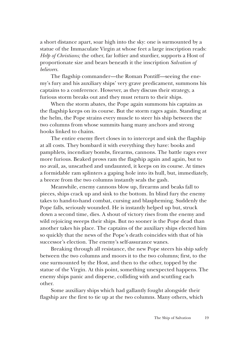a short distance apart, soar high into the sky: one is surmounted by a statue of the Immaculate Virgin at whose feet a large inscription reads: *Help of Christians;* the other, far loftier and sturdier, supports a Host of proportionate size and bears beneath it the inscription *Salvation of believers.* 

The flagship commander—the Roman Pontiff—seeing the enemy's fury and his auxiliary ships' very grave predicament, summons his captains to a conference. However, as they discuss their strategy, a furious storm breaks out and they must return to their ships.

When the storm abates, the Pope again summons his captains as the flagship keeps on its course. But the storm rages again. Standing at the helm, the Pope strains every muscle to steer his ship between the two columns from whose summits hang many anchors and strong hooks linked to chains.

The entire enemy fleet closes in to intercept and sink the flagship at all costs. They bombard it with everything they have: books and pamphlets, incendiary bombs, firearms, cannons. The battle rages ever more furious. Beaked prows ram the flagship again and again, but to no avail, as, unscathed and undaunted, it keeps on its course. At times a formidable ram splinters a gaping hole into its hull, but, immediately, a breeze from the two columns instantly seals the gash.

Meanwhile, enemy cannons blow up, firearms and beaks fall to pieces, ships crack up and sink to the bottom. In blind fury the enemy takes to hand-to-hand combat, cursing and blaspheming. Suddenly the Pope falls, seriously wounded. He is instantly helped up but, struck down a second time, dies. A shout of victory rises from the enemy and wild rejoicing sweeps their ships. But no sooner is the Pope dead than another takes his place. The captains of the auxiliary ships elected him so quickly that the news of the Pope's death coincides with that of his successor's election. The enemy's self-assurance wanes.

Breaking through all resistance, the new Pope steers his ship safely between the two columns and moors it to the two columns; first, to the one surmounted by the Host, and then to the other, topped by the statue of the Virgin. At this point, something unexpected happens. The enemy ships panic and disperse, colliding with and scuttling each other.

Some auxiliary ships which had gallantly fought alongside their flagship are the first to tie up at the two columns. Many others, which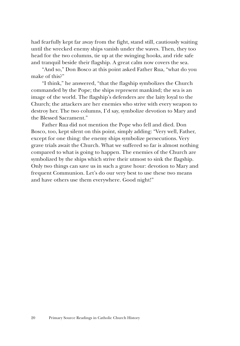had fearfully kept far away from the fight, stand still, cautiously waiting until the wrecked enemy ships vanish under the waves. Then, they too head for the two columns, tie up at the swinging hooks, and ride safe and tranquil beside their flagship. A great calm now covers the sea.

"And so," Don Bosco at this point asked Father Rua, "what do you make of this?"

"I think," he answered, "that the flagship symbolizes the Church commanded by the Pope; the ships represent mankind; the sea is an image of the world. The flagship's defenders are the laity loyal to the Church; the attackers are her enemies who strive with every weapon to destroy her. The two columns, I'd say, symbolize devotion to Mary and the Blessed Sacrament."

Father Rua did not mention the Pope who fell and died. Don Bosco, too, kept silent on this point, simply adding: "Very well, Father, except for one thing: the enemy ships symbolize persecutions. Very grave trials await the Church. What we suffered so far is almost nothing compared to what is going to happen. The enemies of the Church are symbolized by the ships which strive their utmost to sink the flagship. Only two things can save us in such a grave hour: devotion to Mary and frequent Communion. Let's do our very best to use these two means and have others use them everywhere. Good night!"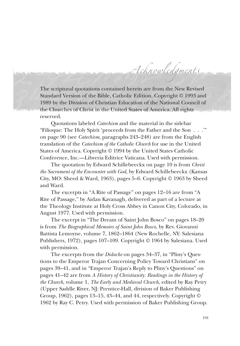The scriptural quotations contained herein are from the New Revised Standard Version of the Bible, Catholic Edition. Copyright © 1993 and 1989 by the Division of Christian Education of the National Council of the Churches of Christ in the United States of America. All rights reserved.

Acknowledgments

Quotations labeled *Catechism* and the material in the sidebar "Filioque: The Holy Spirit 'proceeds from the Father and the Son . . .'" on page 90 (see *Catechism,* paragraphs 243–248) are from the English translation of the *Catechism of the Catholic Church* for use in the United States of America. Copyright © 1994 by the United States Catholic Conference, Inc.—Libreria Editrice Vaticana. Used with permission.

The quotation by Edward Schillebeeckx on page 10 is from *Christ the Sacrament of the Encounter with God,* by Edward Schillebeeckx (Kansas City, MO: Sheed & Ward, 1963), pages 5–6. Copyright © 1963 by Sheed and Ward.

The excerpts in "A Rite of Passage" on pages 12–16 are from "A Rite of Passage," by Aidan Kavanagh, delivered as part of a lecture at the Theology Institute at Holy Cross Abbey in Canon City, Colorado, in August 1977. Used with permission.

The excerpt in "The Dream of Saint John Bosco" on pages 18–20 is from *The Biographical Memoirs of Saint John Bosco,* by Rev. Giovanni Battista Lemoyne, volume 7, 1862–1864 (New Rochelle, NY: Salesiana Publishers, 1972), pages 107–109. Copyright © 1964 by Salesiana. Used with permission.

The excerpts from the *Didache* on pages 34–37, in "Pliny's Questions to the Emperor Trajan Concerning Policy Toward Christians" on pages 39–41, and in "Emperor Trajan's Reply to Pliny's Questions" on pages 41–42 are from *A History of Christianity: Readings in the History of the Church,* volume 1, *The Early and Medieval Church,* edited by Ray Petry (Upper Saddle River, NJ: Prentice-Hall, division of Baker Publishing Group, 1962), pages 13–15, 43–44, and 44, respectively. Copyright © 1962 by Ray C. Petry. Used with permission of Baker Publishing Group.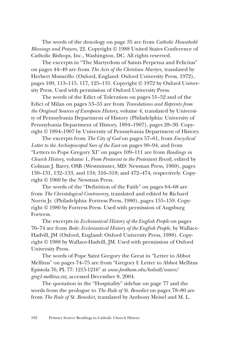The words of the doxology on page 35 are from *Catholic Household Blessings and Prayers,* 22. Copyright © 1988 United States Conference of Catholic Bishops, Inc., Washington, DC. All rights reserved.

The excerpts in "The Martyrdom of Saints Perpetua and Felicitas" on pages 44–49 are from *The Acts of the Christian Martyrs,* translated by Herbert Musurillo (Oxford, England: Oxford University Press, 1972), pages 109, 113–115, 117, 125–131. Copyright © 1972 by Oxford University Press. Used with permission of Oxford University Press.

The words of the Edict of Toleration on pages 51–52 and of the Edict of Milan on pages 53–55 are from *Translations and Reprints from the Original Sources of European History,* volume 4, translated by University of Pennsylvania Department of History (Philadelphia: University of Pennsylvania Department of History, 1894–1907), pages 28–30. Copyright © 1894–1907 by University of Pennsylvania Department of History.

The excerpts from *The City of God* on pages 57–61, from *Encyclical Letter to the Archiepiscopal Sees of the East* on pages 90–94, and from "Letters to Pope Gregory XI" on pages 109–111 are from *Readings in Church History,* volume 1, *From Pentecost to the Protestant Revolt,* edited by Colman J. Barry, OSB (Westminster, MD: Newman Press, 1960), pages 130–131, 132–133, and 134; 316–318; and 472–474, respectively. Copyright © 1960 by the Newman Press.

The words of the "Definition of the Faith" on pages 64–68 are from *The Christological Controversy,* translated and edited by Richard Norris Jr. (Philadelphia: Fortress Press, 1980), pages 155–159. Copyright © 1980 by Fortress Press. Used with permission of Augsburg Fortress.

The excerpts in *Ecclesiastical History of the English People* on pages 70–74 are from *Bede: Ecclesiastical History of the English People,* by Wallace-Hadvill, JM (Oxford, England: Oxford University Press, 1988). Copyright © 1988 by Wallace-Hadvill, JM. Used with permission of Oxford University Press.

The words of Pope Saint Gregory the Great in "Letter to Abbot Mellitus" on pages 74–75 are from "Gregory I: Letter to Abbot Mellitus Epistola 76, PL 77: 1215-1216" at *www.fordham.edu/halsall/source/ greg1-mellitus.txt,* accessed December 8, 2004.

The quotation in the "Hospitality" sidebar on page 77 and the words from the prologue to *The Rule of St. Benedict* on pages 78–80 are from *The Rule of St. Benedict,* translated by Anthony Meisel and M. L.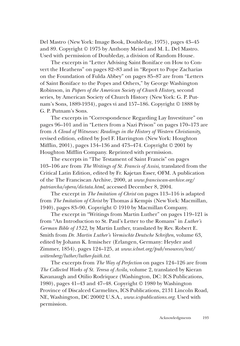Del Mastro (New York: Image Book, Doubleday, 1975), pages 43–45 and 89. Copyright © 1975 by Anthony Meisel and M. L. Del Mastro. Used with permission of Doubleday, a division of Random House.

The excerpts in "Letter Advising Saint Boniface on How to Convert the Heathens" on pages 82–83 and in "Report to Pope Zacharias on the Foundation of Fulda Abbey" on pages 85–87 are from "Letters of Saint Boniface to the Popes and Others," by George Washington Robinson, in *Papers of the American Society of Church History,* second series, by American Society of Church History (New York: G. P. Putnam's Sons, 1889-1934), pages vi and 157–186. Copyright © 1888 by G. P. Putnam's Sons.

The excerpts in "Correspondence Regarding Lay Investiture" on pages 96–101 and in "Letters from a Nazi Prison" on pages 170–173 are from *A Cloud of Witnesses: Readings in the History of Western Christianity,* revised edition, edited by Joel F. Harrington (New York: Houghton Mifflin, 2001), pages 134–136 and 473–474. Copyright © 2001 by Houghton Mifflin Company. Reprinted with permission.

The excerpts in "The Testament of Saint Francis" on pages 103–106 are from *The Writings of St. Francis of Assisi,* translated from the Critical Latin Edition*,* edited by Fr. Kajetan Esser, OFM. A publication of the The Franciscan Archive, 2000, at *www.franciscan-archive.org/ patriarcha/opera/dictata.html,* accessed December 8, 2004.

The excerpt in *The Imitation of Christ* on pages 113–116 is adapted from *The Imitation of Christ* by Thomas á Kempis (New York: Macmillan, 1940), pages 83–90. Copyright © 1910 by Macmillan Company.

The excerpt in "Writings from Martin Luther" on pages 119–121 is from "An Introduction to St. Paul's Letter to the Romans" in *Luther's German Bible of 1522,* by Martin Luther, translated by Rev. Robert E. Smith from *Dr. Martin Luther's Vermischte Deutsche Schriften*, volume 63, edited by Johann K. Irmischer (Erlangen, Germany: Heyder and Zimmer, 1854), pages 124–125, at *www.iclnet.org/pub/resources/text/ wittenberg/luther/luther-faith.txt*.

The excerpts from *The Way of Perfection* on pages 124–126 are from *The Collected Works of St. Teresa of Avila,* volume 2, translated by Kieran Kavanaugh and Otilio Rodriquez (Washington, DC: ICS Publications, 1980), pages 41–43 and 47–48. Copyright © 1980 by Washington Province of Discalced Carmelites, ICS Publications, 2131 Lincoln Road, NE, Washington, DC 20002 U.S.A., *www.icspublications.org*. Used with permission.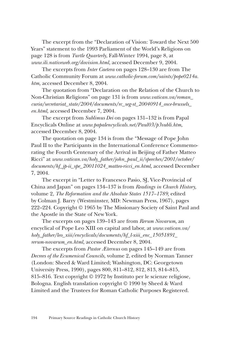The excerpt from the "Declaration of Vision: Toward the Next 500 Years" statement to the 1993 Parliament of the World's Religions on page 128 is from *Turtle Quarterly*, Fall-Winter 1994, page 8, at *www.ili.nativeweb.org/dovision.html,* accessed December 9, 2004.

The excerpts from *Inter Caetera* on pages 128–130 are from The Catholic Community Forum at *www.catholic-forum.com/saints/pope0214a. htm,* accessed December 8, 2004.

The quotation from "Declaration on the Relation of the Church to Non-Christian Religions" on page 131 is from *www.vatican.va/roman\_ curia/secretariat\_state/2004/documents/rc\_seg-st\_20040914\_osce-brussels\_ en.html,* accessed December 7, 2004.

The excerpt from *Sublimus Dei* on pages 131–132 is from Papal Encyclicals Online at *www.papalencyclicals.net/Paul03/p3subli.htm,* accessed December 8, 2004.

The quotation on page 134 is from the "Message of Pope John Paul II to the Participants in the International Conference Commemorating the Fourth Centenary of the Arrival in Beijing of Father Matteo Ricci" at *www.vatican.va/holy\_father/john\_paul\_ii/speeches/2001/october/ documents/hf\_jp-ii\_spe\_20011024\_matteo-ricci\_en.html,* accessed December 7, 2004.

The excerpt in "Letter to Francesco Pasio, SJ, Vice-Provincial of China and Japan" on pages 134–137 is from *Readings in Church History,* volume 2, *The Reformation and the Absolute States 1517–1789,* edited by Colman J. Barry (Westminster, MD: Newman Press, 1967), pages 222–224. Copyright © 1965 by The Missionary Society of Saint Paul and the Apostle in the State of New York.

The excerpts on pages 139–143 are from *Rerum Novarum,* an encyclical of Pope Leo XIII on capital and labor, at *www.vatican.va/ holy\_father/leo\_xiii/encyclicals/documents/hf\_l-xiii\_enc\_15051891\_ rerum-novarum\_en.html,* accessed December 8, 2004.

The excerpts from *Pastor Æternus* on pages 145–149 are from *Decrees of the Ecumenical Councils,* volume 2, edited by Norman Tanner (London: Sheed & Ward Limited; Washington, DC: Georgetown University Press, 1990), pages 800, 811–812, 812, 813, 814–815, 815–816. Text copyright © 1972 by Instituto per le scienze religiose, Bologna. English translation copyright © 1990 by Sheed & Ward Limited and the Trustees for Roman Catholic Purposes Registered.